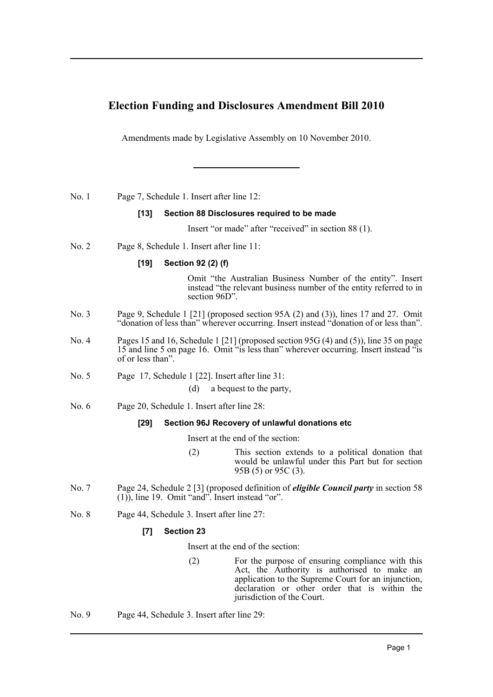# **Election Funding and Disclosures Amendment Bill 2010**

Amendments made by Legislative Assembly on 10 November 2010.

No. 1 Page 7, Schedule 1. Insert after line 12:

## **[13] Section 88 Disclosures required to be made**

Insert "or made" after "received" in section 88 (1).

No. 2 Page 8, Schedule 1. Insert after line 11:

### **[19] Section 92 (2) (f)**

Omit "the Australian Business Number of the entity". Insert instead "the relevant business number of the entity referred to in section 96D".

- No. 3 Page 9, Schedule 1 [21] (proposed section 95A (2) and (3)), lines 17 and 27. Omit "donation of less than" wherever occurring. Insert instead "donation of or less than".
- No. 4 Pages 15 and 16, Schedule 1 [21] (proposed section 95G (4) and (5)), line 35 on page 15 and line 5 on page 16. Omit "is less than" wherever occurring. Insert instead "is of or less than".
- No. 5 Page 17, Schedule 1 [22]. Insert after line 31:

(d) a bequest to the party,

No. 6 Page 20, Schedule 1. Insert after line 28:

#### **[29] Section 96J Recovery of unlawful donations etc**

Insert at the end of the section:

- (2) This section extends to a political donation that would be unlawful under this Part but for section 95B (5) or 95C (3).
- No. 7 Page 24, Schedule 2 [3] (proposed definition of *eligible Council party* in section 58 (1)), line 19. Omit "and". Insert instead "or".
- No. 8 Page 44, Schedule 3. Insert after line 27:

## **[7] Section 23**

Insert at the end of the section:

- (2) For the purpose of ensuring compliance with this Act, the Authority is authorised to make an application to the Supreme Court for an injunction, declaration or other order that is within the jurisdiction of the Court.
- No. 9 Page 44, Schedule 3. Insert after line 29: